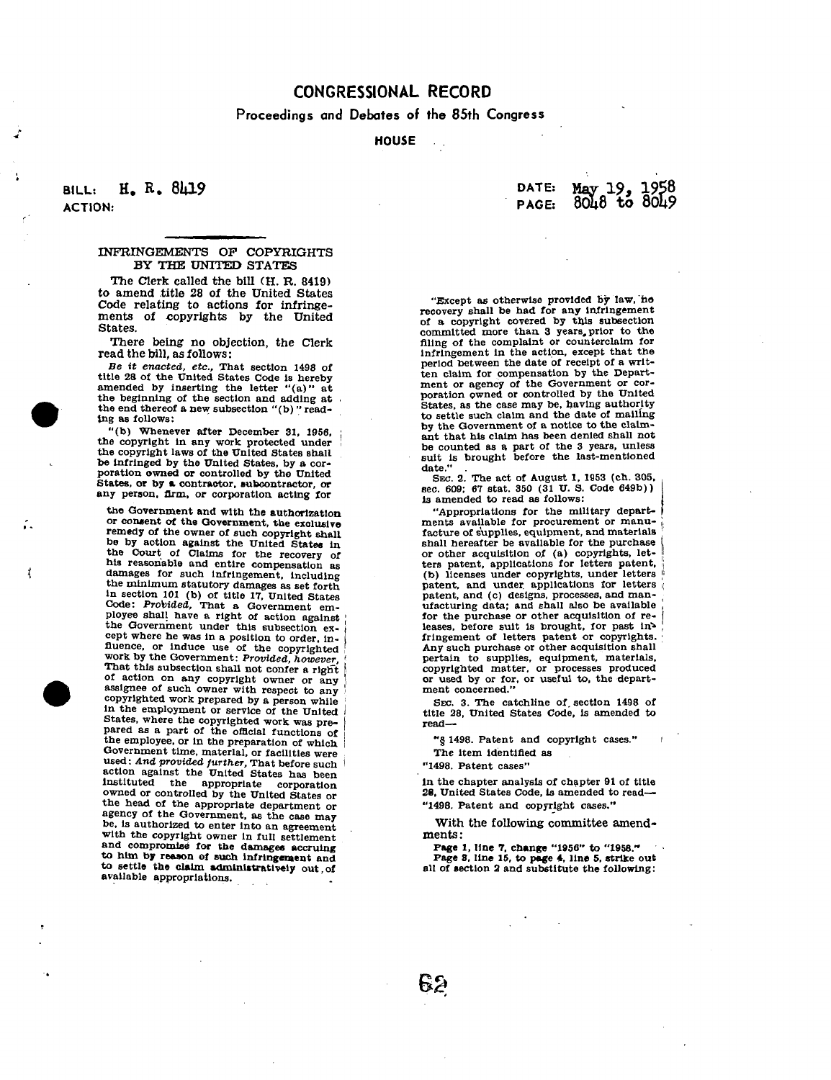# **CONGRESSIONAL RECORD**

**Proceedings and Debates of the 85th Congress** 

## **HOUSE**

## **BILL: H. E. 8U19**  ACTION:

t

### INFRINGEMENTS OP COPYRIGHTS BY THE UNITED STATES

The Clerk called the bill (H. R. 8419) to amend title 28 of the United States Code relating to actions for infringements of copyrights by the United States.

There being no objection, the Clerk read the bill, as follows:

*Be it enacted, etc.,* That section 1498 of title 28 of the United States Code is hereby amended by inserting the letter "(a)" at the beginning of the section and adding at . the end thereof a new subsection "(b)" reading as follows:

"(b) Whenever after December 31, 1956, the copyright In any work protected under the copyright laws of the United States shall be Infringed by the United States, by a cor-poration owned or controlled by the United States, or by a contractor, subcontractor, or any person, firm, or corporation acting for

the Government and with the authorization or consent of the Government, the exclusive remedy of the owner of such copyright shall be by action against the United States in the Court of Claims for the recovery of his reasonable and entire compensation as damages for such infringement, including the minimum statutory damages as set forth<br>in section 101 (b) of title 17, United States<br>Code: Probided, That a Government em-<br>ployee shall have a right of action against<br>the Government under this subsection except where he was in a position to order, in-<br>fluence, or induce use of the copyrighted<br>work by the Government: *Provided, however* That this subsection shall not confer a right of action on any copyright owner or any journal of action on any copyright owner or any copyrighted work prepared by a person while ; in the employment or service of the United *t*  States, where the copyrighted work was prepared as a part of the official functions of the employee, or in the preparation of which Government time, material, or facilities were<br>Government time, material, or facilities were action against the United States has been as the appropriate corporation owned or controlled by the United States or the head of the appropriate department or the head of the appropriate department or agency of the Government, as the case may<br>be, is authorized to enter into an agreement with the copyright owner in full settlement and compromise for the damages accruing to him by reason of such infringement and to settle the claim administratively out of available appropriations.

| <b>DATE:</b> | May 19, 1958<br>8048 to 8049 |  |
|--------------|------------------------------|--|
| PAGE:        |                              |  |

"Except as otherwise provided by law, "no recovery shall be had for any infringement of a copyright covered by this subsection committed more than 3 years, prior to the filing of the complaint or counterclaim for infringement in the action, except that the period between the date of receipt of a written claim for compensation by the Department or agency of the Government or cor-<br>poration owned or controlled by the United<br>States, as the case may be, having authority<br>to settle such claim and the date of mailing by the Government of a notice to the claimant that his claim has been denied shall not be counted as a part of the 3 years, unless suit is brought before the last-mentioned date."

SEC. 2. The act of August 1, 1853 (ch. 305, sec. 609; 67 Stat. 350 (31 U. S. Code 649b)) Is amended to read as follows:

"Appropriations for the military departments available for procurement or manufacture of supplies, equipment, and materials shall hereafter be available for the purchase or other acquisition of (a) copyrights, let-<br>ters patent, applications for letters patent,<br>(b) licenses under copyrights, under letters patent, and under applications for letters  $\frac{1}{6}$  patent, and (c) designs, processes, and manufacturing data; and shall also be available for the purchase or other acquisition of releases, before suit is brought, for past in<sup>2</sup> fringement of letters patent or copyrights. Any such purchase or other acquisition shall pertain to supplies, equipment, materials, copyrighted matter, or processes produced or used by or for, or useful to, the depart-ment concerned."

SEC. 3. The catchline of, section 1498 of title 28, United States Code, is amended to read—

"§ 1498. Patent and copyright cases." i

The item identified as

"1498. Patent cases"

In the chapter analysis of chapter 91 of title 28, United States Code, is amended to read— "1498. Patent and copyright cases."

With the following committee amendments :

Page 1, line *7.* change "1956" to "1958." Page S. line 15, to page 4, line 5, strike out all of section 2 and substitute the following: